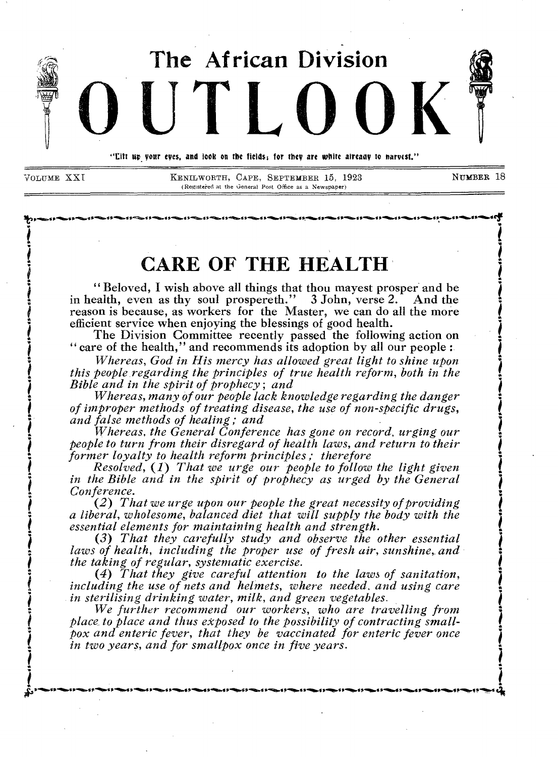

*.* 

*I* 

VOLUME XX I KENILWORTH, CAPE, SEPTEMBER 15, 1923 N**UMBER 18**  (Registered at the General Post Office as a Newspaper)

literatura de la provincia de la provincia de la provincia de la provincia de la provincia de la provincia de<br>Institució de la provincia de la provincia del provincia de la provincia de la provincia de la provincia del p

**i** 

*5 ,* 

**1** 

# **CARE OF THE HEALTH**

**EXAMPLE OF THE HEALTHE**<br>
"Beloved, I wish above all things that thou mayest prosper and be in health, even as thy soul prospereth." 3 John, verse 2. And the reason is because, as workers for the Master, we can do all the more efficient service when enjoying the blessings of good health.

The Division Committee recently passed the following action on " care of the health," and recommends its adoption by all our people :<br>Whereas, God in His mercy has allowed great light to shine upon

*Whereas, God in His mercy has allowed great light to shine upon i. this people regarding the principles of true health reform, both in the .1 Bible and in the spirit of prophecy; and* 

*• Whereas, many of our people lack knowledge regarding the danger of improper methods of treating disease, the use of non-specific drugs, and false methods of healing; and* 

*Whereas, the General Conference has gone on record, urging our 1people to turn from their disregard of health laws, and return to their**people to turn from their disregard of health laws, and return to their* **<b>***former loyalty to health reform principles ; therefore former loy former loyalty to health reform principles; therefore*<br>Resolved, (1) That we urge our people to follow the light given

in the Bible and in the spirit of prophecy as urged by the General *I Conference*.

*<sup>I</sup>(2) That we urge upon our people the great necessity of providing : a liberal, wholesome, balanced diet that will supply the body with the 1 essential elements for maintaining health and strength.* 

*(3) That they carefully study and observe the other essential*  laws of health, including the proper use of fresh air, sunshine, and *the taking of regular, systematic exercise.* 

*(4) That they give careful attention to the laws of sanitation, including the use of nets and helmets, where needed, and using care*  $\ddot{\bullet}$ *<sup>1</sup>in sterilising drinking water, milk, and green vegetables.* 

*place to place and thus exposed to the possibility of contracting small-We further recommend our workers, who are travelling from : pox and enteric fever, that they be vaccinated for enteric fever once in two years, and for smallpox once in five years. i i* 

**;\$1 s'illb.11"01.61,01.•• 0.14.t ,"•!ftost 11.00.1g 1.".04.4 rwiloog Vossf 11.41.1g1•4111.. 11.ftp.s s.wip,..a s.ao. st 11.1141.4 11.1111.11 •••••oitr....... \_ I irfta.s 44**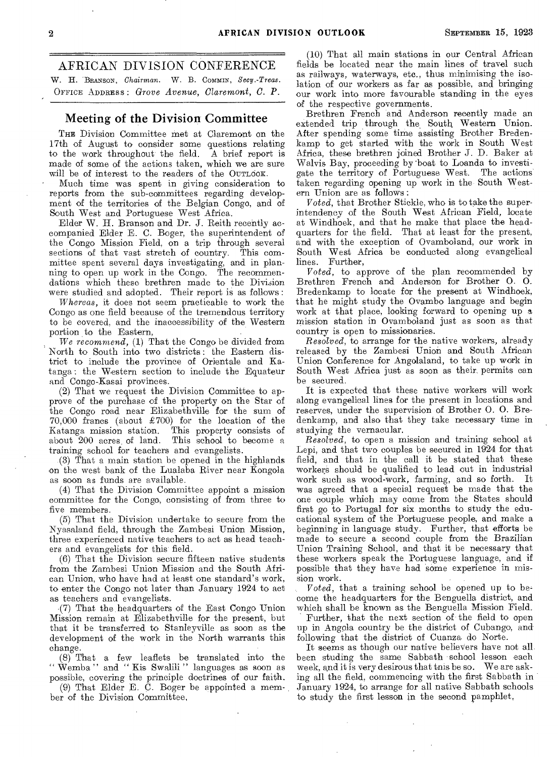# AFRICAN DIVISION CONFERENCE

W. H. BRANSON, *Chairman.* W. B. Commix, *Secy.-Treas.*  OFFICE ADDRESS : *Grove Avenue, Claremont, C. P.* 

### Meeting of the Division Committee

THE Division Committee met at Claremont on the 17th of August to consider some questions relating to the work throughout the field. A brief report is made of some of the actions taken, which we are sure will be of interest to the readers of the OuTLOOK.

Much time was spent in giving consideration to reports from the sub-committees regarding development of the territories of the Belgian Congo, and of South West and Portuguese West Africa.

Elder W. H. Branson and Dr. J. Reith recently accompanied Elder E. C. Boger, the superintendent of the Congo Mission Field, on a trip through several sections of that vast stretch of country. This committee spent several days investigating, and in planning to open up work in the Congo. The recommendations which these brethren made to the Division were studied and adopted. Their report is as follows :

*Whereas,* it does not seem practicable to work the Congo as one field because of the tremendous territory to be covered, and the inaccessibility of the Western portion to the Eastern,

*We recommend, (1)* That the Congo be divided from North to South into two districts : the Eastern district to include the province of Orientale and Katanga : the Western section to include the Equateur and Congo-Kasai provinces.

(2) That we request the Division Committee to approve of the purchase of the property on the Star of the Congo road near Elizabethville for the sum of  $70,000$  francs (about  $\pounds 700$ ) for the location of the Katanga mission station. This property consists of This property consists of about 200 acres of land. This school to become a training school for teachers and evangelists.

(3) That a main station be opened in the highlands on the west bank of the Lualaba River near Kongola as soon as funds are available.

(4) That the Division Committee appoint a mission committee for the Congo, consisting of from three to five members.

(5) That the Division undertake to secure from the Nyasaland field, through the Zambesi Union Mission, three experienced native teachers to act as head teachers and evangelists for this field.

(6) That the Division secure fifteen native students from the Zambesi Union Mission and the South African Union, who have had at least one standard's work, to enter the Congo not later than January 1924 to act as teachers and evangelists.

-(7) That the headquarters of the East Congo Union Mission remain at Elizabethville for the present, but that it be transferred to Stanleyville as soon as the development of the work in the North warrants this change.

(8) That a few leaflets be translated into the " Wemba " and " Kis Swalili " languages as soon as possible, covering the principle doctrines of our faith.

(9) That Elder E. C. Boger be appointed a member of the Division Committee,

(10) That all main stations in our Central African fields be located near the main lines of travel such as railways, waterways, etc., thus minimising the isolation of our workers as far as possible, and bringing our work into more favourable standing in the eyes of the respective governments.

Brethren French and Anderson recently made an extended trip through the South Western Union. After spending some time assisting Brother Bredenkamp to get started with the work in South West Africa, these brethren joined Brother J. D. Baker at Walvis Bay, proceeding by -boat to Loanda to investigate the territory of Portuguese West. The actions taken regarding opening up work in the South Western Union are as follows :

*Voted,* that Brother Stickle, who is to take the superintendency of the South West African Field, locate at Windhoek, and that he make that place the headquarters for the field. That at least for the present, and with the exception of Ovamboland, our work in South West Africa be conducted along evangelical lines. Further,

*Voted,* to approve of the plan recommended by Brethren French and Anderson for Brother 0. 0. Bredenkamp to locate for the present at Windhoek, that he might study the Ovambo language and begin work at that place, looking forward to opening up a mission station in Ovamboland just as soon as that country is open to missionaries.

*Resolved,* to arrange for the native workers, already released by the Zambesi Union and South African Union Conference for Angolaland, to take up work in South West Africa just as soon as their, permits can be secured.

It is expected that these native workers will work along evangelical lines for the present in locations and reserves, under the supervision of Brother 0. 0. Bredenkamp, and also that they take necessary time in studying the vernacular.

*Resolved,* to open a mission and training school at Lepi, and that two couples be secured in 1924 for that field, and that in the call it be stated that these workers should be qualified to lead out in industrial work such as wood-work, farming, and so forth. It was agreed that a special request be made that the one couple which may come from the States should first go to Portugal for six months to study the educational system of the Portuguese people, and make a beginning in language study. Further, that efforts be made to secure a second couple from the Brazilian Union Training School, and that it be necessary that these workers speak the Portuguese language, and if possible that they have had some experience in mission work.

*Voted,* that a training school be opened up to become the headquarters for the Benguella district, and which shall be known as the Benguella Mission Field.

Further, that the next section of the field to open up in Angola country be the district of Cubango, and following that the district of Cuanza do Norte.

It seems as though our native believers have not all been studing the same Sabbath school lesson each week, and it is very desirous that tnis be so. We are asking all the field, commencing with the first Sabbath in January 1924, to arrange for all native Sabbath schools to study the first lesson in the second pamphlet,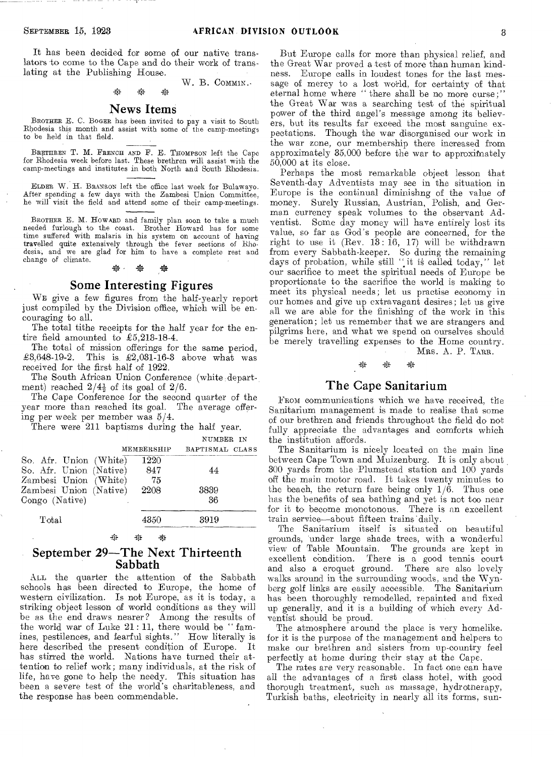It has been decided for some of our native translators to come to the Cape and do their work of translating at the Publishing House.

W. B. COMMIN. \* -23

### News Items

BROTHER E. C. BOGER has been invited to pay a visit to South Rhodesia this month and assist with some of the camp-meetings to be held in that field.

BRETHREN T. M. FRENCH AND F. E. THOMPSON left the Cape for Rhodesia week before last. These brethren will assist with the camp-meetings and institutes in both North and South Rhodesia.

ELDER W. H. BRANSON left the office last week for Bulawayo. After spending a few days with the Zambesi Union Committee, he will visit the field and attend some of their camp-meetings.

BROTHER E. M. HOWARD and family plan soon to take a much needed furlough to the coast. Brother Howard has for some time suffered with malaria in his system on account of having travelled quite extensively through the fever sections of Rhodesia, and we are glad for him to have a complete rest and change of climate. change of climate.

### Some Interesting Figures

WE give a few figures from the half-yearly report just compiled by the Division office, which will be encouraging to all.

The total tithe receipts for the half year for the entire field amounted to £5,213-18-4.

The total of mission offerings for the same period,  $\pounds3.648-19-2$ . This is  $\pounds2.031-16-3$  above what was This is  $\pounds2,031-16-3$  above what was received for the first half of 1922.

The South African Union Conference (white department) reached  $2/4\frac{1}{2}$  of its goal of  $2/6$ .

The Cape Conference for the second quarter of the year more than reached its goal. The average offering per week per member was 5/4.

There were 211 baptisms during the half year.

|                         |            | NUMBER IN       |  |
|-------------------------|------------|-----------------|--|
|                         | MEMBERSHIP | BAPTISMAL CLASS |  |
| So. Afr. Union (White)  | 1220       |                 |  |
| So. Afr. Union (Native) | 847        | 44              |  |
| Zambesi Union (White)   | 75         |                 |  |
| Zambesi Union (Native)  | 2208       | 3839            |  |
| Congo (Native)<br>٠     |            | -36             |  |
| Total                   | 4350       | 3919            |  |

#### 辞  $\mathcal{L}$ \*

# September 29—The Next Thirteenth Sabbath

ALL the quarter the attention of the Sabbath schools has been directed to Europe, the home of western civilization. Is not Europe, as it is today, a striking object lesson of world conditions as they will be as the end draws nearer? Among the results of the world war of Luke  $21:11$ , there would be "famines, pestilences, and fearful sights." How literally is here described the present condition of Europe. has stirred the world. Nations have turned their attention to relief work; many individuals, at the risk of life, have gone to help the needy. This situation has been a severe test of the world's charitableness, and the response has been commendable.

But Europe calls for more than physical relief, and the Great War proved a test of more than human kindness. Europe calls in loudest tones for the last message of mercy to a lost world, for certainty of that eternal home where " there shall be no more curse;" the Great War was a searching test of the spiritual power of the third angel's message among its believers, but its results far exceed the most sanguine expectations. Though the war disorganised our work in the war zone, our membership there increased from approximately 35,000 before the war to approximately 50,000 at its close.

Perhaps the most remarkable object lesson that Seventh-day Adventists may see in the situation in Europe is the continual diminishng of the value of money. Surely Russian, Austrian, Polish, and German currency speak volumes to the observant Adventist. Some day money will have entirely lost its value, so far as God's people are concerned, for the right to use it (Rev.  $13: 16, 17$ ) will be withdrawn from every Sabbath-keeper. So during the remaining days of probation, while still "it is called today," let our sacrifice to meet the spiritual needs of Europe be proportionate to the sacrifice the world is making to meet its physical needs; let us practise economy in our homes and give up extravagant desires; let us give all we are able for the finishing of the work in this generation; let us remember that we are strangers and pilgrims here, and what we spend on ourselves should be merely travelling expenses to the Home country. \* \*

MRS. A. P. TARR.

# The Cape Sanitarium

xh

FROM communications which we have received, the Sanitarium management is made to realise that some of our brethren and friends throughout the field do not fully appreciate the advantages and comforts which the institution affords.

The Sanitarium is nicely located on the main line between Cape Town and Muizenburg. It is only about 300 yards from the Plumstead station and 100 yards off the main motor road. It takes twenty minutes to the beach, the return fare being only  $1/\overset{\circ}{6}$ . Thus one has the benefits of sea bathing and yet is not too near for it to become monotonous. There is an excellent train service—about fifteen trains daily.

The Sanitarium itself is situated on beautiful grounds, 'under large shade trees, with a wonderful view of Table Mountain. The grounds are kept in excellent condition. There is a good tennis court and also a croquet ground. There are also lovely There are also lovely walks around in the surrounding woods, and the Wynberg golf links are easily accessible. The Sanitarium has been thoroughly remodelled, repainted and fixed up generally, and it is a building of which every Adventist should be proud.

The atmosphere around the place is very homelike. for it is the purpose of the management and helpers to make our brethren and sisters from up-country feel perfectly at home during their stay at the Cape.

The rates are very reasonable. In fact one can have all the advantages of a first class hotel, with good thorough treatment, such as massage, hydrotnerapy, Turkish baths, electricity in nearly all its forms, sun-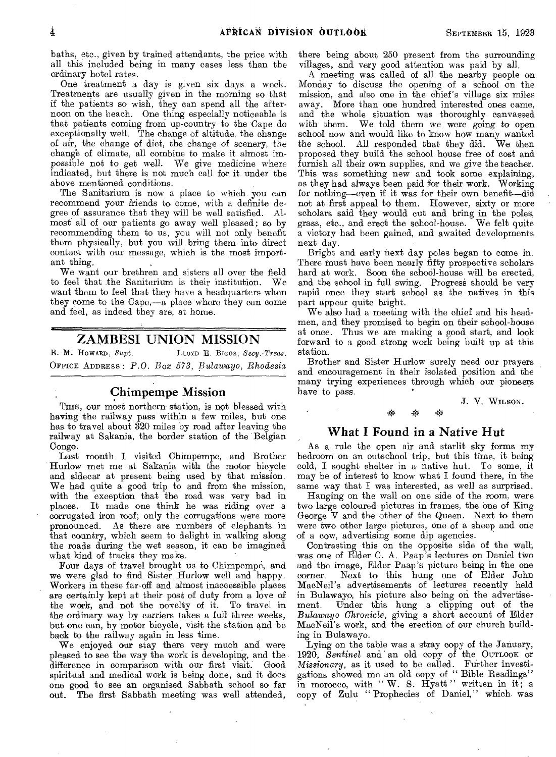baths, etc., given by trained attendants, the price with all this included being in many cases less than the ordinary hotel rates.

One treatment a day is given six days a week. Treatments are usually given in the morning so that if the patients so wish, they can spend all the afternoon on the beach. One thing especially noticeable is that patients coming froni up-country to the Cape do exceptionally well. The change of altitude, the change of air, the change of diet, the change of scenery, the change of climate, all combine to make it almost impossible not to get well. We give medicine where indicated, but there is not much call for it under the above mentioned conditions.

The Sanitarium is now a place to which you can recommend your friends to come, with a definite degree of assurance that they will be well satisfied. Almost all of our patients go away well pleased; so by recommending them to us, you will not only benefit them physically, but you will bring them into direct contact with our message, which is the most important thing.

We want our brethren and sisters all over the field to feel that the Sanitarium is their institution. We want them to feel that they have a headquarters when they come to the Cape,—a place where they can come and feel, as indeed they are, at home.

# ZAMBESI UNION MISSION

E. M. HOWARD, Supt. LLOYD E. BIGGS, Secy.-Treas. OFFICE ADDRESS : *P.O. Box 573, Bulawayo, Rhodesia* 

# Chimpempe Mission

This, our most northern station, is not blessed with having the railway pass within a few miles, but one has to travel about 320 miles by road after leaving the railway at Sakania, the border station of the Belgian Congo.

Last month I visited Chimpempe, and Brother Hurlow met me at Sakania with the motor bicycle and sidecar at present being used by that mission. We had quite a good trip to and from the mission, with the exception that the road was very bad in places. It made one think he was riding over a corrugated iron roof; only the corrugations were more pronounced. As there are numbers of elephants in that country, which seem to delight in walking along the roads during the wet season, it can be imagined what kind of tracks they make.

Four days of travel brought us to Chimpempe, and we were glad to find Sister Hurlow well and happy. Workers in these far-off and almost inaccessible places are certainly kept at their post of duty from a love of the work, and not the novelty of it. To travel in the ordinary way by carriers takes a full three weeks, but one can, by motor bicycle, visit the station and be back to the railway again in less time.

We enjoyed our stay there very much and were pleased to see the way the work is developing, and the difference in comparison with our first visit. Good spiritual and medical work is being done, and it does one good to see an organised Sabbath school so far out. The first Sabbath meeting was well attended,

there being about 250 present from the surrounding villages, and very good attention was paid by all.

A meeting was called of all the nearby people on Monday to discuss the opening of a school on the mission, and also one in the chief's village six miles away. More than one hundred interested ones came, and the whole situation was thoroughly canvassed with them. We told them we were going to open We told them we were going to open school now and would like to know how many wanted the school. All responded that they did. We then proposed they build the school house free of cost and furnish all their own supplies, and we give the teacher. This was something new and took some explaining, as they had always been paid for their work. Working for nothing—even if it was for their own benefit—did not at first appeal to them. However, sixty or more scholars said they would cut and bring in the poles, grass, etc., and erect the school-house. We felt quite a victory had been gained, and awaited developments next day.

Bright and early next day poles began to come in. There must have been nearly fifty prospective scholars hard at work. Soon the school-house will be erected, and the school in full swing. Progress should be very rapid once they start school as the natives in this part appear quite bright.

We also had a meeting with the chief and his headmen, and they promised to begin on their school-house at once. Thus we are making a good start, and look forward to a good strong work being built up at this station,

Brother and Sister Hurlow surely need our prayers and encouragement in their isolated position and the many trying experiences through which our pioneers have to pass. \* \*

J. V. WILSON.

### What I Found in a Native Hut

ر<br>جونو ب

As a rule the open air and starlit sky forms my bedroom on an outschool trip, but this time, it being cold, I sought shelter in a native hut. To some, it may be of interest to know what I found there, in the same way that I was interested, as well as surprised.

Hanging on the wall on one side of the room, were two large coloured pictures in frames, the one of King George V and the other of the Queen. Next to them were two other large pictures, one of a sheep and one of a cow, advertising some dip agencies.

Contrasting this on the opposite side of the wall, was one of Elder C. A. Paap's lectures on Daniel two and the image, Elder Paap's picture being in the one corner. Next to this hung one of Elder John MacNeil's advertisements of lectures recently held in Bulawayo, his picture also being on the advertisement. Under this hung a clipping out of the *Bulawayo Chronicle,* giving a short account of Elder MacNeil's work, and the erection of our church building in Bulawayo.

Lying on the table was a stray copy of the January, 1920, *Sentinel* and an old copy of the OUTLOOK or *Missionary,* as it used to be called. Further investigations showed me an old copy of " Bible Readings" in morocco, with " $W$ . S. Hyatt" written in it; a copy of Zulu " Prophecies of Daniel," which was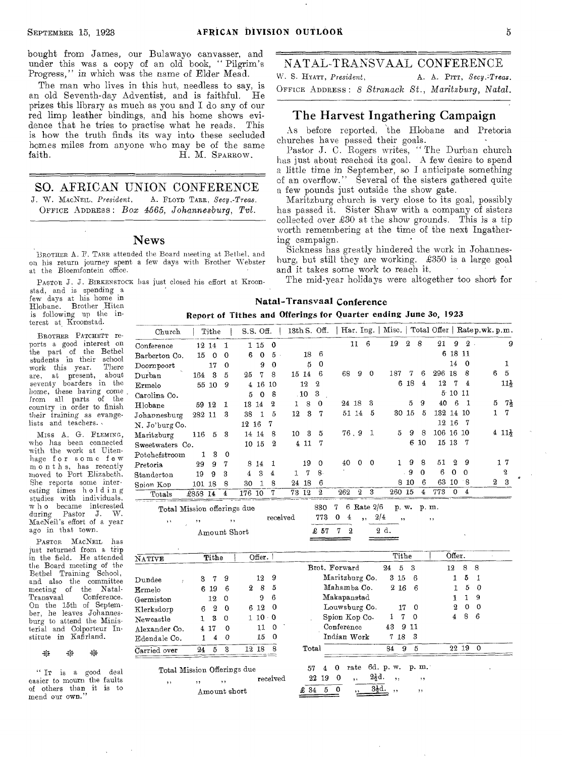bought from James, our Bulawayo canvasser, and under this was a copy of an old book, " Pilgrim's NATAL-TRANSVAAL CONFERENCE Progress," in which was the name of Elder Mead.

The man who lives in this hut, needless to say, is an old Seventh-day Adventist, and is faithful. He prizes this library as much as you and I do any of our red limp leather bindings, and his home shows evidence that he tries to practise what he reads. This is how the truth finds its way into these secluded homes miles from anyone who may be of the same<br>faith. H. M. Sparsow. H. M. SPARROW.

SO. AFRICAN UNION CONFERENCE **J. W.** *MAcNEIL, President,* **A.** FLOYD TARR, *Secy.-Treas.*  OFFICE ADDRESS : *Box 4565, Johannesburg, Tvl.* 

BROTHER, A. **P.** TARR **attended the Board meeting at Bethel, and on his return journey spent a few days with Brother Webster at the Bloemfontein office.** 

PASTOR **J. J.** BIRKENSTOCK **has just closed his** effort **at Kroon-**

**stad, and is spending a**  few **days at** his home in **Hlobane. Brother Hiten is following up the interest at Kroonstad.** 

BROTHER PATCHETT **reports a** good interest on the **part of** the Bethel **students in their** school work **this year.** There are, at present, **seventy boarders** in the home, **these** having come **from all parts** of the **country in order to** finish **their training** *as* **evangelists and** teachers.

Miss A. G. FLEMING, who has been **connected with the work at Uitenhage for some few month s, has recently moved to Port Elizabeth. She** reports some **interesting times holding studies with individuals. w h o became interested**  Pastor J. W. **MacNeil's effort of a** year ago in that town.

the Board meeting of the Bethel Training School, and also the committee meeting of the Natal-Transvaal Conference. On the 15th of September, he leaves Johannesburg to attend the Ministerial and Colporteur Institute in Kafirland.<br>
\* \* \* \* PASTOR MACNEIL **has**  just **returned from a trip**  in the field. He attended  $\bar{N}$ 

 $\Sigma$ 垃

" IT **is a good deal easier to mourn** the faults of others than it is **to**  mend our own.

W. S. HYATT, *President*, **A. A. PITT**, *Secy.<sup>1</sup>Treas*. OFFICE ADDRESS : *8 Stranack St., Maritzburg, Natal.* 

# The Harvest Ingathering Campaign

As before reported, the Hlobane and Pretoria churches have passed their goals.

Pastor J. C. Rogers writes, "The Durban church has just about reached its goal. A few desire to spend a little time in September, so I anticipate something of an overflow." Several of the sisters gathered quite a few pounds just outside the show gate.

worth remembering at the time of the next Ingather-News ing campaign. Maritzburg church is very close to its goal, possibly has passed it. Sister Shaw with a company of sisters collected over  $\pounds 30$  at the show grounds. This is a tip

Sickness has greatly hindered the work in Johannesburg, but still they are working. X350 is a large goal and it takes some work to reach it.

The mid-year holidays were altogether too short for

|                               |        |                |             |        |           |             |       |       |                  |       |          |              | Report of Tithes and Offerings for Quarter ending June 30, 1923 |                  |          |           |          |          |   |                  |
|-------------------------------|--------|----------------|-------------|--------|-----------|-------------|-------|-------|------------------|-------|----------|--------------|-----------------------------------------------------------------|------------------|----------|-----------|----------|----------|---|------------------|
| Church                        |        | Tithe          |             |        | S.S. Off. |             |       |       | $13th S.$ Off.   |       |          |              | Har. Ing.   Misc.   Total Offer   Ratep.wk.p.m.                 |                  |          |           |          |          |   |                  |
| Conference                    |        | 12 14          | -1          |        | 115       | $^{\circ}$  |       |       |                  |       | 11       | -6           | 19                                                              | $\boldsymbol{2}$ | 8        | 21        | 9        | 2        |   | 9                |
| Barberton Co.                 | 15     | $\overline{0}$ | $\Omega$    | 6      | $\Omega$  | $5^{\circ}$ |       | 18    | -6               |       |          |              |                                                                 |                  |          |           | 6 18 11  |          |   |                  |
| $\mathop{\mathrm{Doompoort}}$ |        | 17             | 0           |        | 9         | $\bf{0}$    |       | 5     | $\mathbf 0$      |       |          |              |                                                                 |                  |          |           | 14       | $\Omega$ |   |                  |
| $_{\rm Durban}$               |        | 164 3          | $\tilde{p}$ | 25     | 7         | 8           |       | 15 14 | $\mathbf{6}$     | 68    | 9        | $\theta$     | 187                                                             | 7                | 6        | 296       | 18       | 8        | 6 | 5                |
| Ermelo                        |        | 55 10          | 9           | 4      | 16        | -10         |       | 12    | $\boldsymbol{2}$ |       |          |              | 6                                                               | 18               | 4        | 12        | 7        | 4        |   | 11}              |
| Carolina Co.                  |        |                |             | 5      | $\Omega$  | 8           |       | .10   | 3                |       |          |              |                                                                 |                  |          |           | 5:1011   |          |   |                  |
| Hlobane                       | 59     | 12             | 1.          |        | 13 14     | 2           | 1     | 8     | $\Omega$         | 24 18 |          | З            |                                                                 | $\mathbf{5}$     | 9        | 40        | 6        |          | 5 | 71               |
| Johannesburg                  | 282 11 |                | з           | 38     | 1         | 5           | 12    | 3     | 7                |       | 51 14    | 5            |                                                                 | 30 15            | 5        | 132 14    |          | 10       | 1 | 7                |
| N. Jo'burg Co.                |        |                |             | 12 16  |           | 7           |       |       |                  |       |          |              |                                                                 |                  |          |           | 12 16    | 7        |   |                  |
| Maritzburg                    | 116    | 5              | -3          | 14     | 14        | 8           | 10    | 3     | 5                |       |          | 76.9 1       | 5                                                               | 9                | 8        | 106 16 10 |          |          |   | $411\frac{1}{2}$ |
| Sweetwaters Co.               |        |                |             |        | 10 15     | $\mathbf 2$ |       | 4 11  | 7                |       |          |              |                                                                 | 6                | 10       |           | 15 13    | - 7      |   |                  |
| Potchefstroom                 | 1.     | 3              | $\Omega$    |        |           |             |       |       |                  |       |          |              |                                                                 |                  |          |           |          |          |   |                  |
| Pretoria                      | 29     | 9              | 7           | 8.     | 14        | -1          |       | 19    | $\Omega$         | 40    | 0        | $^{\circ}$   | 1.                                                              | 9                | 8        | 51        | $^{9}$   | -9       |   | 17               |
| Standerton                    | 19     | 9              | 3           | 4      | 3         | 4           | 1     | 7     | 8.               |       |          |              |                                                                 | -9               | $\Omega$ | 6         | $\theta$ | $\Omega$ |   | 2                |
| Spion Kop                     | 101 18 |                | 8           | 30     |           | 8           |       | 24 18 | 6                |       |          |              | 8                                                               | 10               | 6        | 63        | 10       | - 8      | 2 | 3                |
| Totals                        | £858   | 14             | 4           | 176 10 |           | 7           | 73 12 |       | 9.               | 262   | $\Omega$ | $\mathbf{R}$ | 260 15                                                          |                  | 4        | 773       | 0        | 4        |   |                  |

Natal-Transvaal Conference

| Total Mission offerings due |          |                                   |  |                             | 830 7 6 Rate 2/6 p.w. p.m. |               |
|-----------------------------|----------|-----------------------------------|--|-----------------------------|----------------------------|---------------|
| 5.5                         | received |                                   |  | $773 \t0 \t4 \t, \t2/4 \t,$ |                            | $\sim$ $\sim$ |
| Amount Short                |          | $\textcolor{red}{\pounds}$ 57 7 2 |  | -2 d.<br>______             |                            |               |

| NATIVE                     | Tithe                       | Offer.              |                                          | Tithe                    | Offer.                       |
|----------------------------|-----------------------------|---------------------|------------------------------------------|--------------------------|------------------------------|
|                            |                             |                     | Brot. Forward                            | $\mathbf{5}$<br>-3<br>24 | 8<br>-8<br>12                |
| $\mathbf{Dundee}$          | 9<br>$\mathbf 7$<br>3       | -9<br>12            | Maritzburg Co.                           | $3\,15$<br>-6            | 5<br>-1                      |
| ${\tt Ermelo}$             | 6<br>6 19                   | 5<br>8<br>2         | Mahamba Co.                              | 216<br>-6                | 5<br>$\Omega$                |
| $\operatorname{Germiston}$ | 12<br>-0                    | 6<br>9              | Makapanstad                              |                          | 9                            |
| Klerksdorp                 | $^{2}$<br>0<br>6            | $6\,12$<br>$\bf{0}$ | Louwsburg Co.                            | 17<br>$\Omega$           | $\mathbf 2$<br>0<br>$\Omega$ |
| Newcastle                  | 3<br>0                      | 1 10 0              | Spion Kop Co.                            | 7<br>$^{\circ}$<br>Ъ.    | 8<br>- 6<br>4                |
| Alexander Co.              | $\Omega$<br>4 17            | $\theta$<br>11      | Conference                               | 43<br>-911               |                              |
| Edendale Co.               | $\Omega$<br>4               | 15<br>- 0           | Indian Work                              | 7 18 3                   |                              |
| Carried over               | 3<br>24<br>5                | 12 18<br>-8         | Total                                    | -5<br>-9<br>84           | 22 19<br>$\Omega$            |
|                            | Total Mission Offerings due |                     | rate<br>$\Omega$<br>57<br>4              | 6d. p. w.<br>p. m.       |                              |
| , ,                        | , ,<br>$\cdots$             | received            | $2\frac{1}{2}d.$<br>0<br>19<br>22<br>, , | , ,<br>, ,               |                              |
|                            | Amount short                |                     | $32$ d.<br>$\theta$<br>5<br>£34          | , ,<br>, ,               |                              |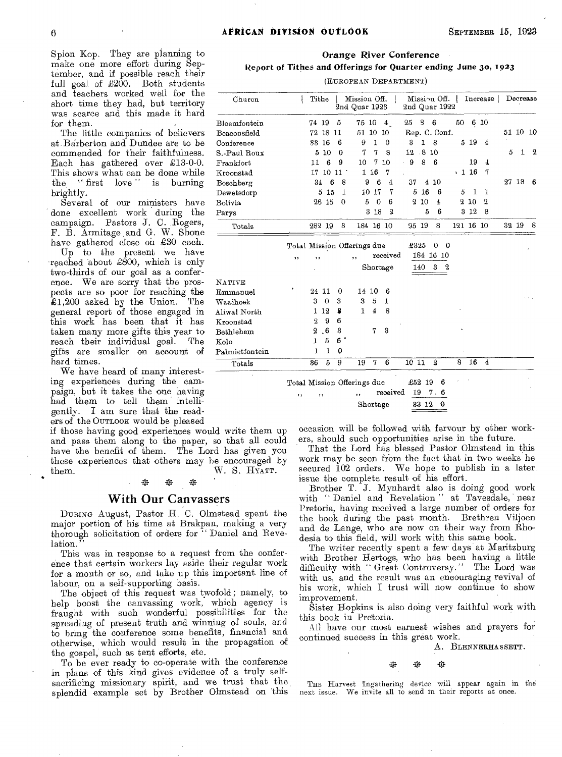Orange River Conference

Report of Tithes and Offerings for Quarter ending June 3o, 1923

(EUROPEAN DEPARTMENT)

| Churcn         |     |                | Tithe            |                | Mission Off.<br>2nd Quar 1923      |                |                |             |              | 2nd Quar 1922  | Mission Off.   Increase $\vert$ |              |             |   | Decrease     |   |
|----------------|-----|----------------|------------------|----------------|------------------------------------|----------------|----------------|-------------|--------------|----------------|---------------------------------|--------------|-------------|---|--------------|---|
| Bloemfontein   |     | 74 19          |                  | 5              | 75 10                              |                | 4 <sub>1</sub> | 25          | 3            | 6              | 50                              |              | 6 10        |   |              |   |
| Beaconsfield   |     |                | 72 18 11         |                | 51                                 | 10             | 10             |             |              | Rep. C. Conf.  |                                 |              |             |   | $51\ 10\ 10$ |   |
| Conference     |     |                | 33 16            | 6              | 9                                  | 1              | $\theta$       | 3           | $\mathbf{I}$ | 8              |                                 | 519          | 4           |   |              |   |
| S.-Paul Roux   |     | 5              | 10               | $\theta$       | 7                                  | 7              | 8              | 12          |              | .810           |                                 |              |             | 5 | 1            | 2 |
| Frankfort      |     | 11             | 6                | 9              | 10                                 | 7              | 10             | 9<br>k.     | 8            | -6             |                                 | 19           | 4           |   |              |   |
| Kroonstad      |     |                | 17 10 11         |                |                                    | 1 16           | 7              |             |              |                |                                 | $\cdot$ 1 16 | 7           |   |              |   |
| Boschberg      |     | 34             | 6                | 8              | 9                                  | 6              | $\overline{4}$ | 37          | 4            | 10             |                                 |              |             |   | 27 18        | 6 |
| Dewetsdorp     |     |                | 515              | 1              |                                    | 10 17          | 7              |             | 5<br>-16     | 6              | 5                               | 1            | 1           |   |              |   |
| Bolivia        |     |                | 26 15            | $\Omega$       | 5                                  | $\Omega$       | 6              | $\mathbf 2$ | 10           | 4              |                                 | 210          | $\mathbf 2$ |   |              |   |
| Parys          |     |                |                  |                |                                    | 18<br>3        | 2              |             | 5            | 6              |                                 | $3\;12$      | 8           |   |              |   |
| Totals         |     |                | 282 19           | 3              |                                    | 184 16 10      |                |             | 95 19        | 8              |                                 | 121 16 10    |             |   | 32 19        | 8 |
|                |     |                |                  |                | Total Mission Offerings due        |                |                |             | £325         | 0              | $\mathbf{o}$                    |              |             |   |              |   |
|                | , 1 | $, \, \cdot$   |                  |                | $, \,$                             |                | received       |             |              | 184 16 10      |                                 |              |             |   |              |   |
|                |     |                |                  |                |                                    |                | Shortage       |             | 140          | 3              | 2                               |              |             |   |              |   |
| <b>NATIVE</b>  |     |                |                  |                |                                    |                |                |             |              |                |                                 |              |             |   |              |   |
| Emmanuel       |     |                | 94 11            | $\Omega$       | 14                                 | 10             | 6              |             |              |                |                                 |              |             |   |              |   |
| Waaihoek       |     | 3              | $\Omega$         | 3              | 3                                  | 5              | 1              |             |              |                |                                 |              |             |   |              |   |
| Aliwal North   |     | 1              | 12               | 8              | 1                                  | $\overline{4}$ | 8              |             |              |                |                                 |              |             |   |              |   |
| Kroonstad      |     | $\overline{2}$ | 9                | 6              |                                    |                |                |             |              |                |                                 |              |             |   |              |   |
| Bethlehem      |     | 2              | $6 \overline{6}$ | 3              |                                    | 7              | 3              |             |              |                |                                 |              |             |   |              |   |
| Kolo           |     | 1              | $\mathbf{5}$     | 6 <sup>1</sup> |                                    |                |                |             |              |                |                                 |              |             |   |              |   |
| Palmietfontein |     | ı              | 1                | 0              |                                    |                |                |             |              |                |                                 |              |             |   |              |   |
| Totals         |     | 36             | 5                | 9              | 19                                 | 7              | 6              |             | 10 11        | $^{2}$         | 8                               | 16           | 4           |   |              |   |
|                | ,,  |                | ,,               |                | Total Mission Offerings due<br>, , |                | received       |             | £52<br>19    | 6<br>19<br>7.6 |                                 |              |             |   |              |   |

Shortage

gently. I am sure that the readers of the OUTLOOK would be pleased if those having good experiences would write them up

#### \* -41 垃

#### With Our Canvassers

DURING August, Pastor H. C. Olmstead spent the major portion of his time at Brakpan, making a very thorough solicitation of orders for " Daniel and Revelation.

This was in response to a request from the conference that certain workers lay aside their regular work for a month or so, and take up this important line of labour, on a self-supporting basis.

The object of this request was twofold; namely, to help boost the canvassing work, which agency is fraught with such wonderful possibilities for the spreading of present truth and winning of souls, and to bring the conference some benefits, financial and otherwise, which would result in the propagation of the gospel, such as tent efforts, etc.

To be ever ready to co-operate with the conference in plans of this kind gives evidence of a truly selfsacrificing missionary spirit, and we trust that the splendid example set by Brother Olmstead on this

occasion will be followed with fervour by other workers, should such opportunities arise in the future.

33 12 0

That the Lord has blessed Pastor Olmstead in this work may be seen from the fact that in two weeks he secured  $102$  orders. We hope to publish in a later. issue the complete result of his effort.

Brother T. J. Mynhardt also is doing good work with "Daniel and Revelation" at Tavesdale, near Pretoria, having received a large number of orders for the book during the past month. Brethren Viljoen and de Lange, who are now on their way from Rhodesia to this field, will work with this same book.

The writer recently spent a few days at Maritzburg with Brother Hertogs, who has been having a little difficulty with "Great Controversy." The Lord was with us, and the result was an encouraging revival of his work, which I trust will now continue to show improvement.

Sister Hopkins is also doing very faithful work with this book in Pretoria.

All have our most earnest wishes and prayers for continued success in this great work.

A. BLENNERHASSETT.

44 挼 嵌

THE Harvest Ingathering device will appear again in the next issue. We invite all to send in their reports at once.

Spion Kop. They are planning to make one more effort during September, and if possible reach their full goal of  $\pounds 200$ . Both students and teachers worked well for the short time they had, but territory was scarce and this made it hard for them.

The little companies of believers at Barberton and Dundee are to be commended for their faithfulness. Each has gathered over £13-0-0. This shows what can be done while the  $\circ$  first love " is burning brightly.

Several of our ministers have done excellent work during the campaign. Pastors J. C. Rogers, F. B. Armitage and G. W. Shone have gathered close on £30 each.

Up to the present we have reached about £800, which is only two-thirds of our goal as a conference. We are sorry that the prospects are so poor for reaching the  $41.200$  asked by the Union. The  $£1,200$  asked by the Union. general report of those engaged in this work has been that it has taken many more gifts this year to reach their individual goal. The gifts are smaller on account of hard times.

We have heard of many interesting experiences during the campaign, but it takes the one having had them to tell them intelli-

and pass them along to the paper, so that all could have the benefit of them. The Lord has given you these experiences that others may be encouraged by them. W. S. HYATT.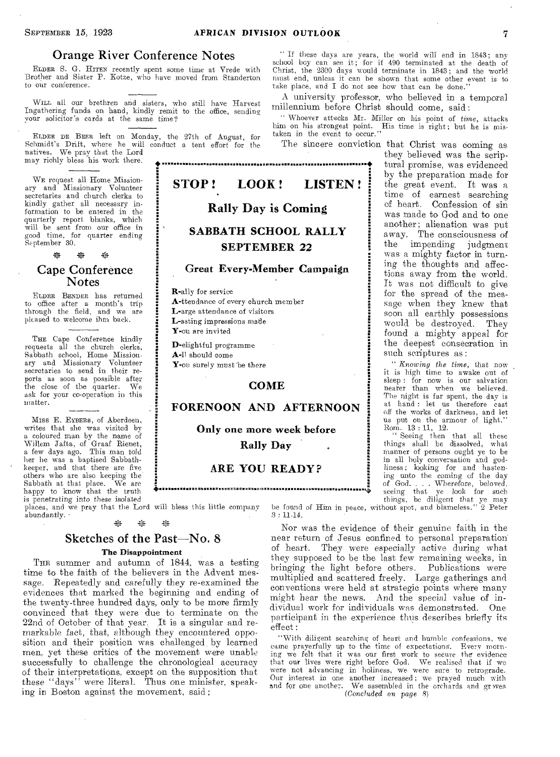### Orange River Conference Notes

ELDER S. G. HITEN recently spent some time at Vrede with Brother **and** Sister P. **IKotze, who have moved from Standerton to** our **conference.** 

WILL **all our** brethren and sisters, who still have **Harvest Ingathering funds on hand, kindly remit** to the office, **sending**  your **solicitor's•** cards at the same time?

ELDER DE BEER **left** on Monday, the 27th of **August, for**  Schmidt's Drift, **where** he will conduct a tent effort **for the**  natives. We pray **that the Lord**  may richly bless his **work** there.

WE request all Home Missionary and Missionary Volunteer secretaries and church clerks **to**  kindly **gather** all necessary information to be entered in the quarterly report blanks, which **will** be **sent** from our office in **good time,** for quarter ending **September** 30.

\* \*

### Cape Conference Notes

ELDER BENDER has returned to office after a month's **trip through the field,** and **we are pleased** to **welcome ihm back.** 

THE Cape Conference kindly requests **all** the church clerks, **Sabbath** school, Home Missionary **and Missionary Volunteer secretaries to send** in their **reports as soon as** possible **after**  the close of the quarter. **ask for your co-operation** in **this matter.** 

atter.<br>Miss E. Eyeers, of Aberdeen, writes that she **was visited by a** coloured **man by the name of Willem Jafta, of** Graaf **Rienet, a few days ago.** This man told **her he was a** baptised Sabbath**keeper, and that** there are **five others who are also keeping the**  Sabbath at that place. **happy to know that the truth is** *penetrating into* **these isolated places, and we pray that the** Lord will bless this little company

**abundantly. •**  \*  $\frac{1}{2}$ 強

# Sketches of the Past—No. 8

#### The Disappointment

THE summer and autumn of 1844, was a testing time to the faith of the believers in the Advent message. Repeatedly and carefully they re-examined the evidences that marked the beginning and ending of the twenty-three hundred days, only to be more firmly convinced that they were due to terminate on the 22nd of October of that year. It is a singular and remarkable fact, that, although they encountered opposition and their position was challenged by learned men, yet these critics of the movement were unable successfully to challenge the chronological accuracy of their interpretations, except on the supposition that these "days" were literal. Thus one minister, speaking in Boston against the movement, said ;

**" If these days are years, the** world will end in **1843; any school boy can see it; for if 490** terminated at the **death of Christ, the 2300 days would terminate in 1843;** and **the world must end, unless it can be shown that some other event is to**  take place, and I do not see how that can be done.

A university professor, who believed in a temporal millennium before Christ should come, said:

•' Whoever attacks Mr. Miller on his point of *time,* **attacks**  him on his **strongest** point. His time **is right ;** but **he is mis-taken** in the event **to** occur."

The sincere conviction that Christ was coming as



**D-elightful** programme **A-Il should** come

Y-ou surely must **'be there** 

### COME

# FORENOON AND AFTERNOON

Only one more week before Rally Day

# ARE YOU READY ? B<br><sub>W</sub>. 1822-1223 1232 1232 1233 1234 1235 1236 1246 1246 1246 1247 1248 1240 1252 1253 1253 1253 1253 1254 125

they believed was the scriptural promise, was evidenced by the preparation made for the great event. It was a time of earnest searching of heart. Confession of sin was made to God and to one another; alienation was put away. The consciousness of the impending judgment was a mighty factor in turning the thoughts and affections away from the world. It was not difficult to give for the spread of the message when they knew that soon all earthly possessions would be destroyed. They found a mighty appeal for the deepest consecration in such scriptures as:

*" Knowing the time,* **that now it** is **high time to awake out of sleep : for now is our** salvation **nearer than when we** believed. **The night is far spent,** the day **is at hand : let us** therefore *cast*  **off the works of darkness, and let us put on the armour of** light." **Rom. 13 : 11, 12.** 

**" Seeing then that all these things shall be dissolved, what manner of persons ought ye to be in all holy conversation and god-liness; looking for and hasten. ing unto the coming of the day of God.. . Wherefore, beloved, seeing that ye look for such things, be diligent that ye may be** found of Him **in peace, without spot, and blameless." 2 Peter** 

**3 : 11-14.** 

Nor was the evidence of their genuine faith in the near return of Jesus confined to personal preparation<br>of heart. They were especially active during what They were especially active during what they supposed to be the last few remaining weeks, in bringing the light before others. Publications were multiplied and scattered freely. Large gatherings and conventions were held at strategic points where many might hear the news. And the special value of individual work for individuals was demonstrated. One participant in the experience thus describes briefly ifs effect :

"With **diligent searching of heart and humble confessions, we came prayerfully up to the time of expectations. Every morning we felt that it was our first work to secure the evidence that our** lives **were** right **before God. We realised that if we were** not **advancing in holiness, We were sure to retrograde.**  Our interest **in one** another **increased; we prayed much with**  and **for one another.** We **assembled in the orchards and gr** *wes (Concluded on* **page 8)**